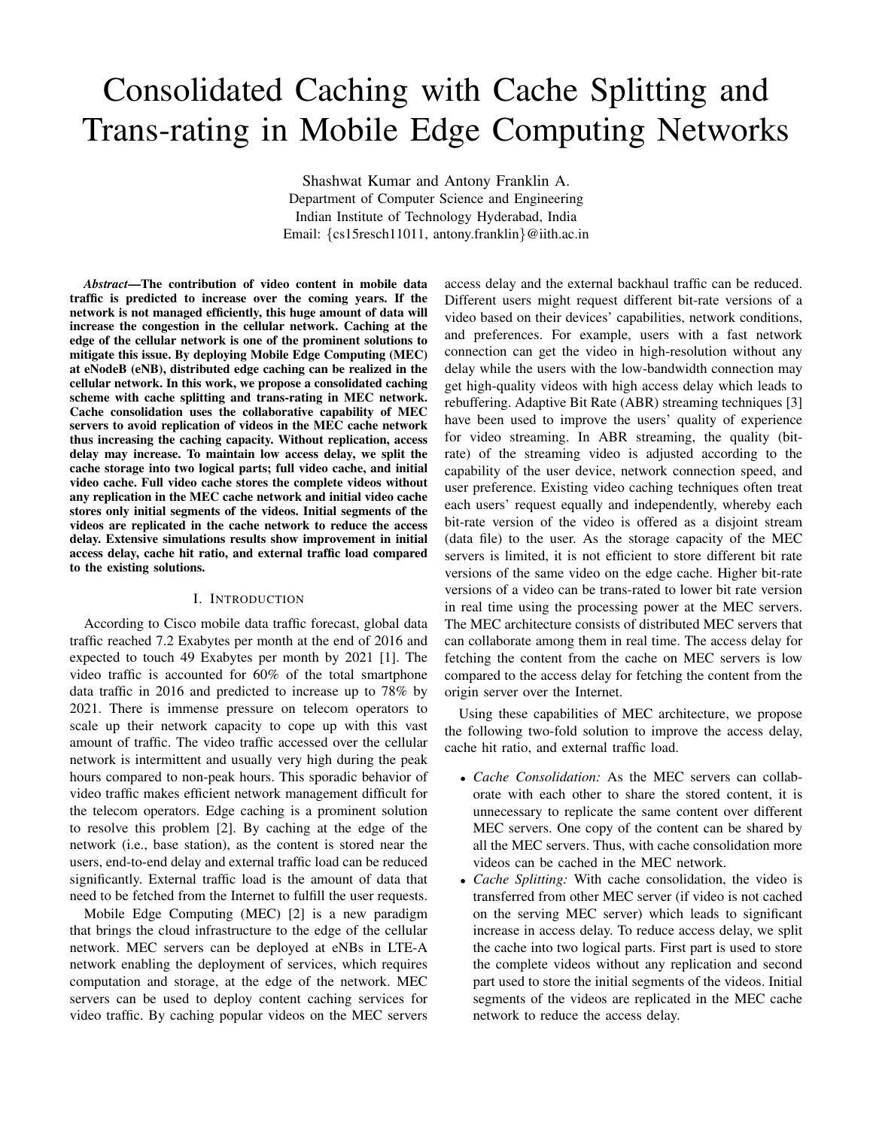# Consolidated Caching with Cache Splitting and Trans-rating in Mobile Edge Computing Networks

Shashwat Kumar and Antony Franklin A. Department of Computer Science and Engineering Indian Institute of Technology Hyderabad, India Email: {cs15resch11011, antony.franklin}@iith.ac.in

*Abstract*—The contribution of video content in mobile data traffic is predicted to increase over the coming years. If the network is not managed efficiently, this huge amount of data will increase the congestion in the cellular network. Caching at the edge of the cellular network is one of the prominent solutions to mitigate this issue. By deploying Mobile Edge Computing (MEC) at eNodeB (eNB), distributed edge caching can be realized in the cellular network. In this work, we propose a consolidated caching scheme with cache splitting and trans-rating in MEC network. Cache consolidation uses the collaborative capability of MEC servers to avoid replication of videos in the MEC cache network thus increasing the caching capacity. Without replication, access delay may increase. To maintain low access delay, we split the cache storage into two logical parts; full video cache, and initial video cache. Full video cache stores the complete videos without any replication in the MEC cache network and initial video cache stores only initial segments of the videos. Initial segments of the videos are replicated in the cache network to reduce the access delay. Extensive simulations results show improvement in initial access delay, cache hit ratio, and external traffic load compared to the existing solutions.

# I. INTRODUCTION

According to Cisco mobile data traffic forecast, global data traffic reached 7.2 Exabytes per month at the end of 2016 and expected to touch 49 Exabytes per month by 2021 [1]. The video traffic is accounted for 60% of the total smartphone data traffic in 2016 and predicted to increase up to 78% by 2021. There is immense pressure on telecom operators to scale up their network capacity to cope up with this vast amount of traffic. The video traffic accessed over the cellular network is intermittent and usually very high during the peak hours compared to non-peak hours. This sporadic behavior of video traffic makes efficient network management difficult for the telecom operators. Edge caching is a prominent solution to resolve this problem [2]. By caching at the edge of the network (i.e., base station), as the content is stored near the users, end-to-end delay and external traffic load can be reduced significantly. External traffic load is the amount of data that need to be fetched from the Internet to fulfill the user requests.

Mobile Edge Computing (MEC) [2] is a new paradigm that brings the cloud infrastructure to the edge of the cellular network. MEC servers can be deployed at eNBs in LTE-A network enabling the deployment of services, which requires computation and storage, at the edge of the network. MEC servers can be used to deploy content caching services for video traffic. By caching popular videos on the MEC servers access delay and the external backhaul traffic can be reduced. Different users might request different bit-rate versions of a video based on their devices' capabilities, network conditions, and preferences. For example, users with a fast network connection can get the video in high-resolution without any delay while the users with the low-bandwidth connection may get high-quality videos with high access delay which leads to rebuffering. Adaptive Bit Rate (ABR) streaming techniques [3] have been used to improve the users' quality of experience for video streaming. In ABR streaming, the quality (bitrate) of the streaming video is adjusted according to the capability of the user device, network connection speed, and user preference. Existing video caching techniques often treat each users' request equally and independently, whereby each bit-rate version of the video is offered as a disjoint stream (data file) to the user. As the storage capacity of the MEC servers is limited, it is not efficient to store different bit rate versions of the same video on the edge cache. Higher bit-rate versions of a video can be trans-rated to lower bit rate version in real time using the processing power at the MEC servers. The MEC architecture consists of distributed MEC servers that can collaborate among them in real time. The access delay for fetching the content from the cache on MEC servers is low compared to the access delay for fetching the content from the origin server over the Internet.

Using these capabilities of MEC architecture, we propose the following two-fold solution to improve the access delay, cache hit ratio, and external traffic load.

- *Cache Consolidation:* As the MEC servers can collaborate with each other to share the stored content, it is unnecessary to replicate the same content over different MEC servers. One copy of the content can be shared by all the MEC servers. Thus, with cache consolidation more videos can be cached in the MEC network.
- *Cache Splitting:* With cache consolidation, the video is transferred from other MEC server (if video is not cached on the serving MEC server) which leads to significant increase in access delay. To reduce access delay, we split the cache into two logical parts. First part is used to store the complete videos without any replication and second part used to store the initial segments of the videos. Initial segments of the videos are replicated in the MEC cache network to reduce the access delay.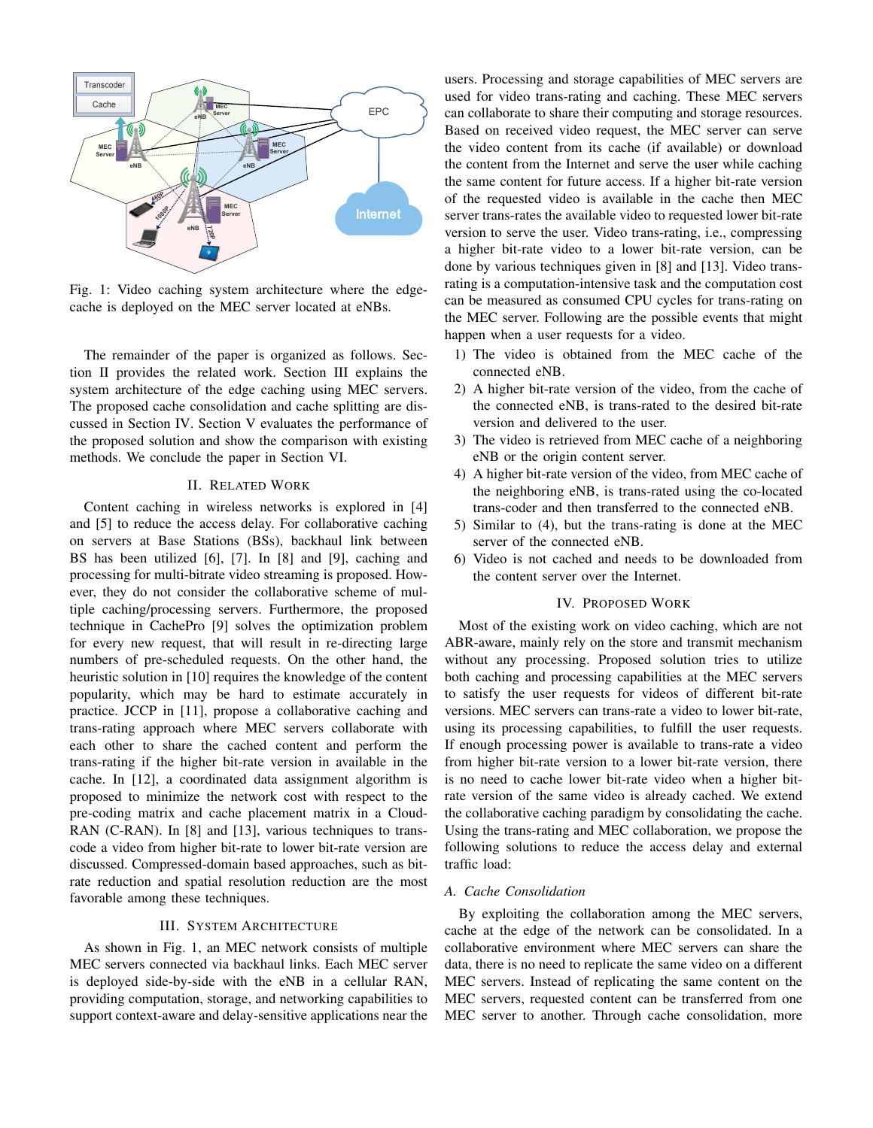

Fig. 1: Video caching system architecture where the edgecache is deployed on the MEC server located at eNBs.

The remainder of the paper is organized as follows. Section II provides the related work. Section III explains the system architecture of the edge caching using MEC servers. The proposed cache consolidation and cache splitting are discussed in Section IV. Section V evaluates the performance of the proposed solution and show the comparison with existing methods. We conclude the paper in Section VI.

# II. RELATED WORK

Content caching in wireless networks is explored in [4] and [5] to reduce the access delay. For collaborative caching on servers at Base Stations (BSs), backhaul link between BS has been utilized [6], [7]. In [8] and [9], caching and processing for multi-bitrate video streaming is proposed. However, they do not consider the collaborative scheme of multiple caching/processing servers. Furthermore, the proposed technique in CachePro [9] solves the optimization problem for every new request, that will result in re-directing large numbers of pre-scheduled requests. On the other hand, the heuristic solution in [10] requires the knowledge of the content popularity, which may be hard to estimate accurately in practice. JCCP in [11], propose a collaborative caching and trans-rating approach where MEC servers collaborate with each other to share the cached content and perform the trans-rating if the higher bit-rate version in available in the cache. In [12], a coordinated data assignment algorithm is proposed to minimize the network cost with respect to the pre-coding matrix and cache placement matrix in a Cloud-RAN (C-RAN). In [8] and [13], various techniques to transcode a video from higher bit-rate to lower bit-rate version are discussed. Compressed-domain based approaches, such as bitrate reduction and spatial resolution reduction are the most favorable among these techniques.

# III. SYSTEM ARCHITECTURE

As shown in Fig. 1, an MEC network consists of multiple MEC servers connected via backhaul links. Each MEC server is deployed side-by-side with the eNB in a cellular RAN, providing computation, storage, and networking capabilities to support context-aware and delay-sensitive applications near the users. Processing and storage capabilities of MEC servers are used for video trans-rating and caching. These MEC servers can collaborate to share their computing and storage resources. Based on received video request, the MEC server can serve the video content from its cache (if available) or download the content from the Internet and serve the user while caching the same content for future access. If a higher bit-rate version of the requested video is available in the cache then MEC server trans-rates the available video to requested lower bit-rate version to serve the user. Video trans-rating, i.e., compressing a higher bit-rate video to a lower bit-rate version, can be done by various techniques given in [8] and [13]. Video transrating is a computation-intensive task and the computation cost can be measured as consumed CPU cycles for trans-rating on the MEC server. Following are the possible events that might happen when a user requests for a video.

- 1) The video is obtained from the MEC cache of the connected eNB.
- 2) A higher bit-rate version of the video, from the cache of the connected eNB, is trans-rated to the desired bit-rate version and delivered to the user.
- 3) The video is retrieved from MEC cache of a neighboring eNB or the origin content server.
- 4) A higher bit-rate version of the video, from MEC cache of the neighboring eNB, is trans-rated using the co-located trans-coder and then transferred to the connected eNB.
- 5) Similar to (4), but the trans-rating is done at the MEC server of the connected eNB.
- 6) Video is not cached and needs to be downloaded from the content server over the Internet.

# IV. PROPOSED WORK

Most of the existing work on video caching, which are not ABR-aware, mainly rely on the store and transmit mechanism without any processing. Proposed solution tries to utilize both caching and processing capabilities at the MEC servers to satisfy the user requests for videos of different bit-rate versions. MEC servers can trans-rate a video to lower bit-rate, using its processing capabilities, to fulfill the user requests. If enough processing power is available to trans-rate a video from higher bit-rate version to a lower bit-rate version, there is no need to cache lower bit-rate video when a higher bitrate version of the same video is already cached. We extend the collaborative caching paradigm by consolidating the cache. Using the trans-rating and MEC collaboration, we propose the following solutions to reduce the access delay and external traffic load:

# *A. Cache Consolidation*

By exploiting the collaboration among the MEC servers, cache at the edge of the network can be consolidated. In a collaborative environment where MEC servers can share the data, there is no need to replicate the same video on a different MEC servers. Instead of replicating the same content on the MEC servers, requested content can be transferred from one MEC server to another. Through cache consolidation, more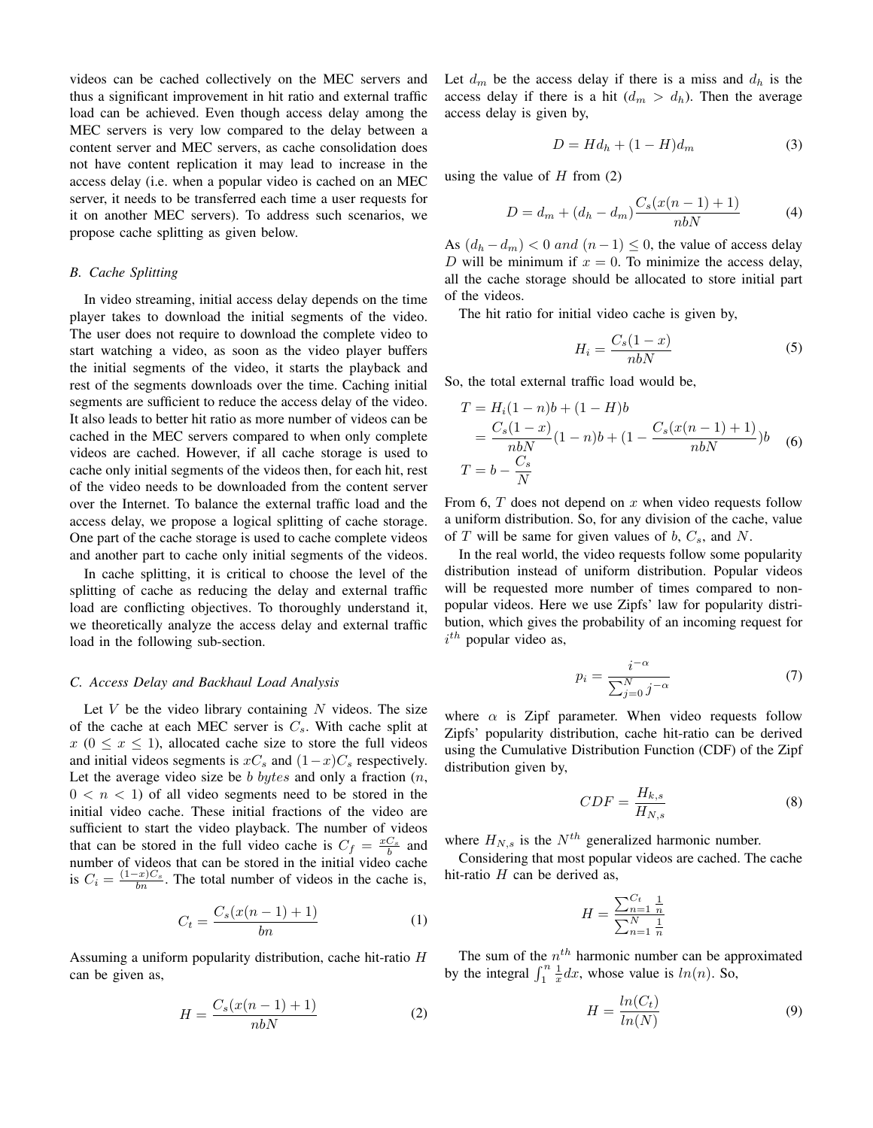videos can be cached collectively on the MEC servers and thus a significant improvement in hit ratio and external traffic load can be achieved. Even though access delay among the MEC servers is very low compared to the delay between a content server and MEC servers, as cache consolidation does not have content replication it may lead to increase in the access delay (i.e. when a popular video is cached on an MEC server, it needs to be transferred each time a user requests for it on another MEC servers). To address such scenarios, we propose cache splitting as given below.

## *B. Cache Splitting*

In video streaming, initial access delay depends on the time player takes to download the initial segments of the video. The user does not require to download the complete video to start watching a video, as soon as the video player buffers the initial segments of the video, it starts the playback and rest of the segments downloads over the time. Caching initial segments are sufficient to reduce the access delay of the video. It also leads to better hit ratio as more number of videos can be cached in the MEC servers compared to when only complete videos are cached. However, if all cache storage is used to cache only initial segments of the videos then, for each hit, rest of the video needs to be downloaded from the content server over the Internet. To balance the external traffic load and the access delay, we propose a logical splitting of cache storage. One part of the cache storage is used to cache complete videos and another part to cache only initial segments of the videos.

In cache splitting, it is critical to choose the level of the splitting of cache as reducing the delay and external traffic load are conflicting objectives. To thoroughly understand it, we theoretically analyze the access delay and external traffic load in the following sub-section.

## *C. Access Delay and Backhaul Load Analysis*

Let  $V$  be the video library containing  $N$  videos. The size of the cache at each MEC server is  $C_s$ . With cache split at  $x (0 \le x \le 1)$ , allocated cache size to store the full videos and initial videos segments is  $xC_s$  and  $(1-x)C_s$  respectively. Let the average video size be b bytes and only a fraction  $(n,$  $0 < n < 1$ ) of all video segments need to be stored in the initial video cache. These initial fractions of the video are sufficient to start the video playback. The number of videos that can be stored in the full video cache is  $C_f = \frac{xC_s}{b}$  and number of videos that can be stored in the initial video cache is  $C_i = \frac{(1-x)C_s}{bn}$ . The total number of videos in the cache is,

$$
C_t = \frac{C_s(x(n-1)+1)}{bn} \tag{1}
$$

Assuming a uniform popularity distribution, cache hit-ratio H can be given as,

$$
H = \frac{C_s(x(n-1)+1)}{nbN} \tag{2}
$$

Let  $d_m$  be the access delay if there is a miss and  $d_h$  is the access delay if there is a hit  $(d_m > d_h)$ . Then the average access delay is given by,

$$
D = Hd_h + (1 - H)d_m \tag{3}
$$

using the value of  $H$  from (2)

$$
D = d_m + (d_h - d_m) \frac{C_s(x(n-1) + 1)}{nbN}
$$
 (4)

As  $(d_h - d_m) < 0$  and  $(n-1) \leq 0$ , the value of access delay D will be minimum if  $x = 0$ . To minimize the access delay, all the cache storage should be allocated to store initial part of the videos.

The hit ratio for initial video cache is given by,

$$
H_i = \frac{C_s(1-x)}{nbN} \tag{5}
$$

So, the total external traffic load would be,

$$
T = H_i(1 - n)b + (1 - H)b
$$
  
= 
$$
\frac{C_s(1 - x)}{nbN}(1 - n)b + (1 - \frac{C_s(x(n - 1) + 1)}{nbN})b
$$
 (6)  

$$
T = b - \frac{C_s}{N}
$$

From 6,  $T$  does not depend on  $x$  when video requests follow a uniform distribution. So, for any division of the cache, value of T will be same for given values of  $b, C_s$ , and N.

In the real world, the video requests follow some popularity distribution instead of uniform distribution. Popular videos will be requested more number of times compared to nonpopular videos. Here we use Zipfs' law for popularity distribution, which gives the probability of an incoming request for  $i^{th}$  popular video as,

$$
p_i = \frac{i^{-\alpha}}{\sum_{j=0}^{N} j^{-\alpha}}\tag{7}
$$

where  $\alpha$  is Zipf parameter. When video requests follow Zipfs' popularity distribution, cache hit-ratio can be derived using the Cumulative Distribution Function (CDF) of the Zipf distribution given by,

$$
CDF = \frac{H_{k,s}}{H_{N,s}}\tag{8}
$$

where  $H_{N,s}$  is the  $N^{th}$  generalized harmonic number.

Considering that most popular videos are cached. The cache hit-ratio  $H$  can be derived as,

$$
H = \frac{\sum_{n=1}^{C_t} \frac{1}{n}}{\sum_{n=1}^{N} \frac{1}{n}}
$$

The sum of the  $n<sup>th</sup>$  harmonic number can be approximated by the integral  $\int_1^n \frac{1}{x} dx$ , whose value is  $ln(n)$ . So,

$$
H = \frac{ln(C_t)}{ln(N)}\tag{9}
$$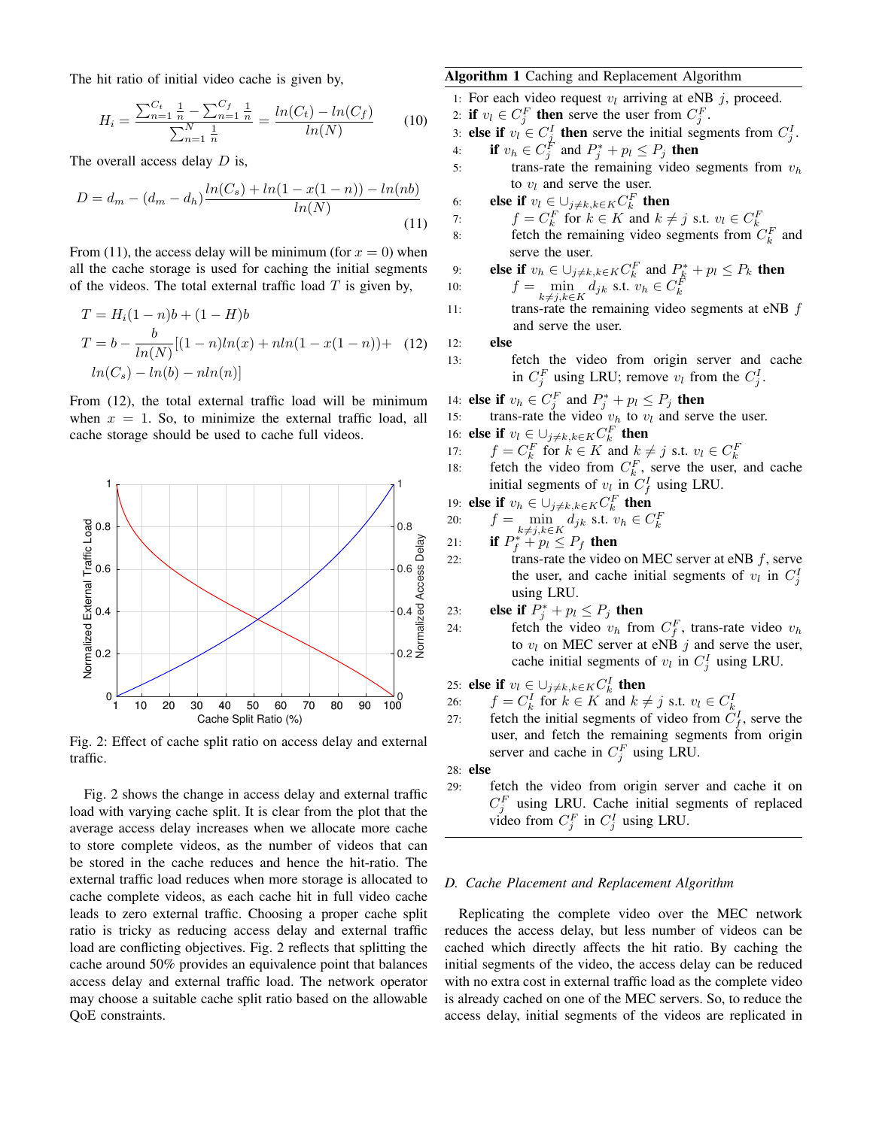The hit ratio of initial video cache is given by,

$$
H_i = \frac{\sum_{n=1}^{C_t} \frac{1}{n} - \sum_{n=1}^{C_f} \frac{1}{n}}{\sum_{n=1}^{N} \frac{1}{n}} = \frac{ln(C_t) - ln(C_f)}{ln(N)} \tag{10}
$$

The overall access delay  $D$  is,

$$
D = d_m - (d_m - d_h) \frac{\ln(C_s) + \ln(1 - x(1 - n)) - \ln(nb)}{\ln(N)}
$$
\n(11)

From (11), the access delay will be minimum (for  $x = 0$ ) when all the cache storage is used for caching the initial segments of the videos. The total external traffic load  $T$  is given by,

$$
T = H_i(1 - n)b + (1 - H)b
$$
  
\n
$$
T = b - \frac{b}{\ln(N)}[(1 - n)\ln(x) + n\ln(1 - x(1 - n)) + (12)
$$
  
\n
$$
\ln(C_s) - \ln(b) - n\ln(n)]
$$

From (12), the total external traffic load will be minimum when  $x = 1$ . So, to minimize the external traffic load, all cache storage should be used to cache full videos.



Fig. 2: Effect of cache split ratio on access delay and external traffic.

Fig. 2 shows the change in access delay and external traffic load with varying cache split. It is clear from the plot that the average access delay increases when we allocate more cache to store complete videos, as the number of videos that can be stored in the cache reduces and hence the hit-ratio. The external traffic load reduces when more storage is allocated to cache complete videos, as each cache hit in full video cache leads to zero external traffic. Choosing a proper cache split ratio is tricky as reducing access delay and external traffic load are conflicting objectives. Fig. 2 reflects that splitting the cache around 50% provides an equivalence point that balances access delay and external traffic load. The network operator may choose a suitable cache split ratio based on the allowable QoE constraints.

# Algorithm 1 Caching and Replacement Algorithm

1: For each video request 
$$
v_l
$$
 arriving at eNB  $j$ , proceed.

2: if  $v_l \in C_j^F$  then serve the user from  $C_j^F$ .

3: else if  $v_i \in C_j^I$  then serve the initial segments from  $C_j^I$ .

4: if  $v_h \in C_j^F$  and  $P_j^* + p_l \leq P_j$  then

5: trans-rate the remaining video segments from  $v_h$ to  $v_l$  and serve the user.

6: else if 
$$
v_l \in \bigcup_{j \neq k, k \in K} C_k^F
$$
 then

7:  $f = C_k^F$  for  $k \in K$  and  $k \neq j$  s.t.  $v_l \in C_k^F$ <br>8: fetch the remaining video segments from  $C_k^F$  and

10: **else if** 
$$
v_h \in \bigcup_{j \neq k, k \in K} C_k^F
$$
 and  $P_k^* + p_l \leq P_k$  then

\n10:  $f = \min_{k \neq j, k \in K} d_{jk}$  s.t.  $v_h \in C_k^F$ 

11: trans-rate the remaining video segments at  $eNB \, f$ and serve the user.

12: else

- 13: fetch the video from origin server and cache in  $C_j^F$  using LRU; remove  $v_l$  from the  $C_j^I$ .
- 14: **else if**  $v_h \in C_j^F$  and  $P_j^* + p_l \leq P_j$  **then**
- 15: trans-rate the video  $v_h$  to  $v_l$  and serve the user.
- 16: **else if**  $v_l \in \bigcup_{j \neq k, k \in K} C_k^F$  then
- 
- 17:  $f = C_k^F$  for  $k \in K$  and  $k \neq j$  s.t.  $v_l \in C_k^F$ <br>18: fetch the video from  $C_k^F$ , serve the user, and cache initial segments of  $v_l$  in  $C_f^I$  using LRU.

19: else if 
$$
v_h \in \bigcup_{j \neq k, k \in K} C_k^F
$$
 then

20: 
$$
f = \min_{k \neq i} d_{jk} \text{ s.t. } v_h \in C_k^F
$$

- 21: **if**  $P_f^{k \neq j, k \in K}$   $P_f^*$  then
- 22: trans-rate the video on MEC server at eNB  $f$ , serve the user, and cache initial segments of  $v_l$  in  $C_j^I$ using LRU.

23: else if 
$$
P_j^* + p_l \leq P_j
$$
 then

24: fetch the video  $v_h$  from  $C_f^F$ , trans-rate video  $v_h$ to  $v_l$  on MEC server at eNB j and serve the user, cache initial segments of  $v_l$  in  $C_j^I$  using LRU.

25: else if  $v_l \in \cup_{j \neq k, k \in K} C_k^I$  then

26:  $f = C_k^I$  for  $k \in K$  and  $k \neq j$  s.t.  $v_l \in C_k^I$ 

27: fetch the initial segments of video from  $C_f^I$ , serve the user, and fetch the remaining segments from origin server and cache in  $C_j^F$  using LRU.

28: else

29: fetch the video from origin server and cache it on  $C_j^F$  using LRU. Cache initial segments of replaced video from  $C_j^F$  in  $C_j^I$  using LRU.

# *D. Cache Placement and Replacement Algorithm*

Replicating the complete video over the MEC network reduces the access delay, but less number of videos can be cached which directly affects the hit ratio. By caching the initial segments of the video, the access delay can be reduced with no extra cost in external traffic load as the complete video is already cached on one of the MEC servers. So, to reduce the access delay, initial segments of the videos are replicated in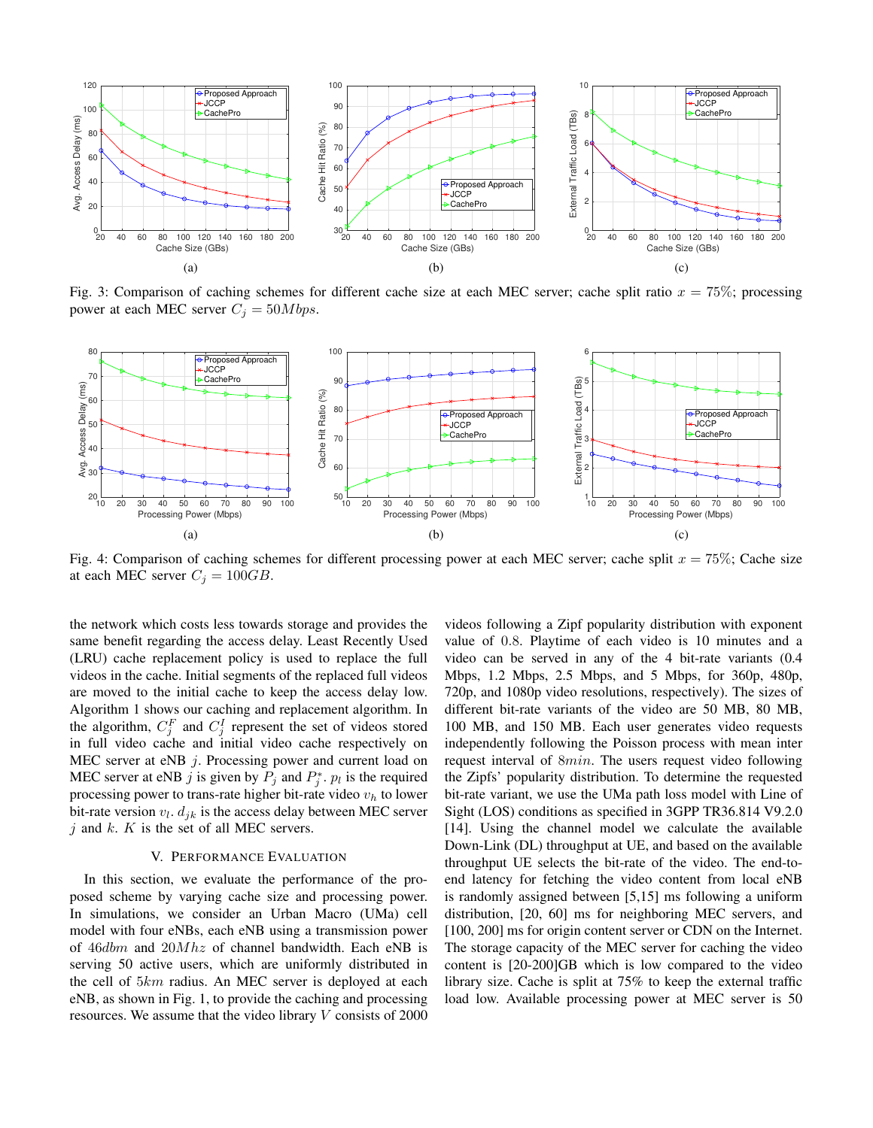

Fig. 3: Comparison of caching schemes for different cache size at each MEC server; cache split ratio  $x = 75\%$ ; processing power at each MEC server  $C_j = 50Mbps$ .



Fig. 4: Comparison of caching schemes for different processing power at each MEC server; cache split  $x = 75\%$ ; Cache size at each MEC server  $C_i = 100GB$ .

the network which costs less towards storage and provides the same benefit regarding the access delay. Least Recently Used (LRU) cache replacement policy is used to replace the full videos in the cache. Initial segments of the replaced full videos are moved to the initial cache to keep the access delay low. Algorithm 1 shows our caching and replacement algorithm. In the algorithm,  $C_j^F$  and  $C_j^I$  represent the set of videos stored in full video cache and initial video cache respectively on MEC server at eNB  $j$ . Processing power and current load on MEC server at eNB j is given by  $P_j$  and  $P_j^*$ .  $p_l$  is the required processing power to trans-rate higher bit-rate video  $v<sub>h</sub>$  to lower bit-rate version  $v_l$ .  $d_{jk}$  is the access delay between MEC server  $j$  and  $k$ .  $K$  is the set of all MEC servers.

# V. PERFORMANCE EVALUATION

In this section, we evaluate the performance of the proposed scheme by varying cache size and processing power. In simulations, we consider an Urban Macro (UMa) cell model with four eNBs, each eNB using a transmission power of 46dbm and 20Mhz of channel bandwidth. Each eNB is serving 50 active users, which are uniformly distributed in the cell of 5km radius. An MEC server is deployed at each eNB, as shown in Fig. 1, to provide the caching and processing resources. We assume that the video library  $V$  consists of 2000

videos following a Zipf popularity distribution with exponent value of 0.8. Playtime of each video is 10 minutes and a video can be served in any of the 4 bit-rate variants (0.4 Mbps, 1.2 Mbps, 2.5 Mbps, and 5 Mbps, for 360p, 480p, 720p, and 1080p video resolutions, respectively). The sizes of different bit-rate variants of the video are 50 MB, 80 MB, 100 MB, and 150 MB. Each user generates video requests independently following the Poisson process with mean inter request interval of 8min. The users request video following the Zipfs' popularity distribution. To determine the requested bit-rate variant, we use the UMa path loss model with Line of Sight (LOS) conditions as specified in 3GPP TR36.814 V9.2.0 [14]. Using the channel model we calculate the available Down-Link (DL) throughput at UE, and based on the available throughput UE selects the bit-rate of the video. The end-toend latency for fetching the video content from local eNB is randomly assigned between [5,15] ms following a uniform distribution, [20, 60] ms for neighboring MEC servers, and [100, 200] ms for origin content server or CDN on the Internet. The storage capacity of the MEC server for caching the video content is [20-200]GB which is low compared to the video library size. Cache is split at 75% to keep the external traffic load low. Available processing power at MEC server is 50